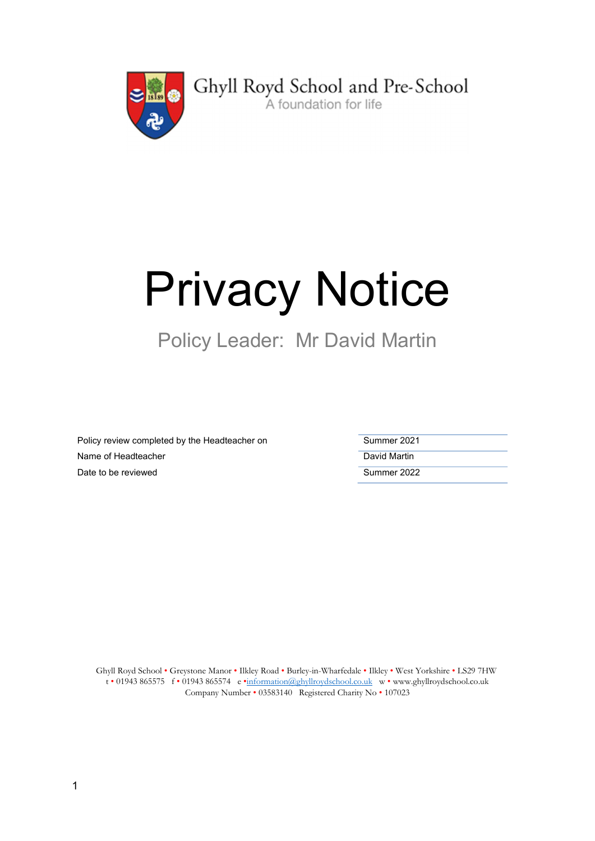

Ghyll Royd School and Pre-School

# Privacy Notice

# Policy Leader: Mr David Martin

Policy review completed by the Headteacher on Name of Headteacher Date to be reviewed

| Summer 2021  |
|--------------|
| David Martin |
| Summer 2022  |

Ghyll Royd School • Greystone Manor • Ilkley Road • Burley-in-Wharfedale • Ilkley • West Yorkshire • LS29 7HW t • 01943 865575 f • 01943 865574 e •information@ghyllroydschool.co.uk w • www.ghyllroydschool.co.uk Company Number • 03583140 Registered Charity No • 107023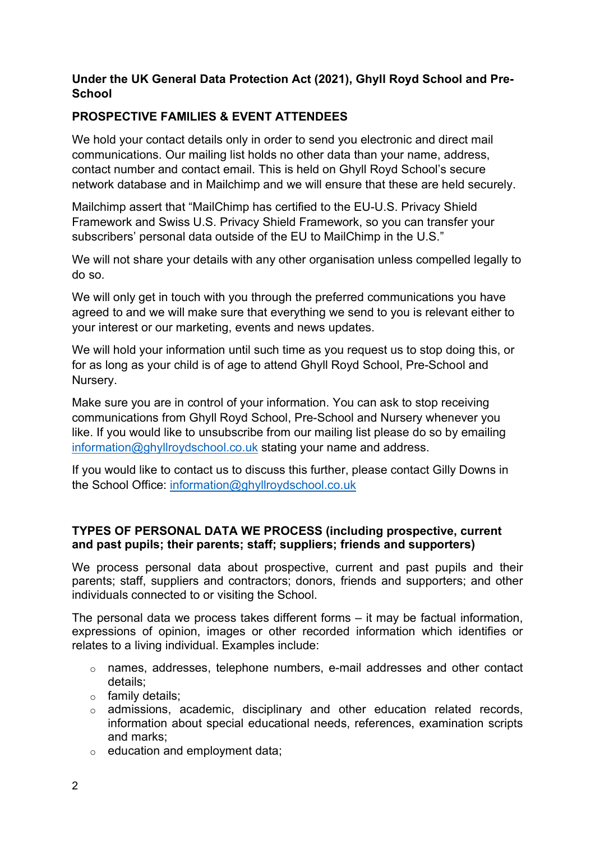## Under the UK General Data Protection Act (2021), Ghyll Royd School and Pre-**School**

# PROSPECTIVE FAMILIES & EVENT ATTENDEES

We hold your contact details only in order to send you electronic and direct mail communications. Our mailing list holds no other data than your name, address, contact number and contact email. This is held on Ghyll Royd School's secure network database and in Mailchimp and we will ensure that these are held securely.

Mailchimp assert that "MailChimp has certified to the EU-U.S. Privacy Shield Framework and Swiss U.S. Privacy Shield Framework, so you can transfer your subscribers' personal data outside of the EU to MailChimp in the U.S."

We will not share your details with any other organisation unless compelled legally to do so.

We will only get in touch with you through the preferred communications you have agreed to and we will make sure that everything we send to you is relevant either to your interest or our marketing, events and news updates.

We will hold your information until such time as you request us to stop doing this, or for as long as your child is of age to attend Ghyll Royd School, Pre-School and Nursery.

Make sure you are in control of your information. You can ask to stop receiving communications from Ghyll Royd School, Pre-School and Nursery whenever you like. If you would like to unsubscribe from our mailing list please do so by emailing information@ghyllroydschool.co.uk stating your name and address.

If you would like to contact us to discuss this further, please contact Gilly Downs in the School Office: information@ghyllroydschool.co.uk

### TYPES OF PERSONAL DATA WE PROCESS (including prospective, current and past pupils; their parents; staff; suppliers; friends and supporters)

We process personal data about prospective, current and past pupils and their parents; staff, suppliers and contractors; donors, friends and supporters; and other individuals connected to or visiting the School.

The personal data we process takes different forms – it may be factual information, expressions of opinion, images or other recorded information which identifies or relates to a living individual. Examples include:

- o names, addresses, telephone numbers, e-mail addresses and other contact details;
- o family details;
- o admissions, academic, disciplinary and other education related records, information about special educational needs, references, examination scripts and marks;
- $\circ$  education and employment data;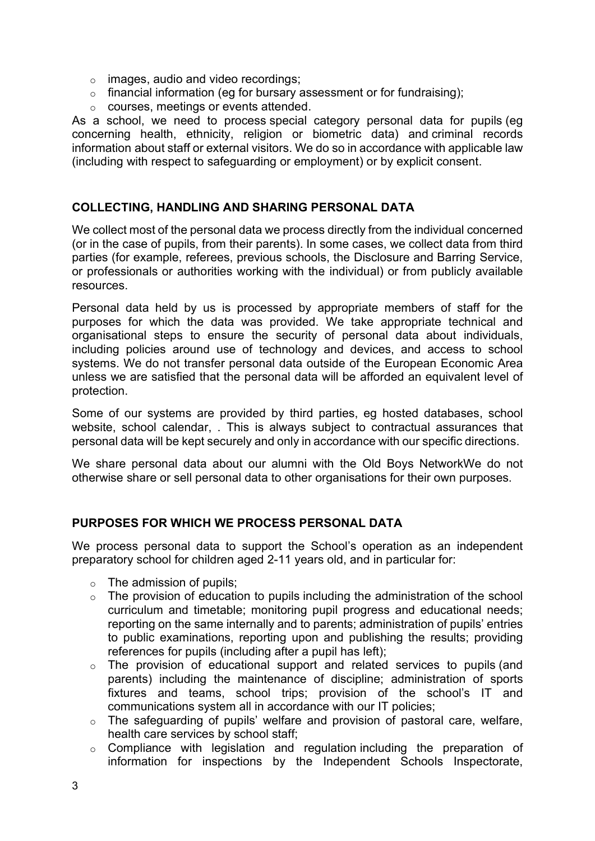- $\circ$  images, audio and video recordings;
- o financial information (eg for bursary assessment or for fundraising);
- o courses, meetings or events attended.

As a school, we need to process special category personal data for pupils (eg concerning health, ethnicity, religion or biometric data) and criminal records information about staff or external visitors. We do so in accordance with applicable law (including with respect to safeguarding or employment) or by explicit consent.

#### COLLECTING, HANDLING AND SHARING PERSONAL DATA

We collect most of the personal data we process directly from the individual concerned (or in the case of pupils, from their parents). In some cases, we collect data from third parties (for example, referees, previous schools, the Disclosure and Barring Service, or professionals or authorities working with the individual) or from publicly available resources.

Personal data held by us is processed by appropriate members of staff for the purposes for which the data was provided. We take appropriate technical and organisational steps to ensure the security of personal data about individuals, including policies around use of technology and devices, and access to school systems. We do not transfer personal data outside of the European Economic Area unless we are satisfied that the personal data will be afforded an equivalent level of protection.

Some of our systems are provided by third parties, eg hosted databases, school website, school calendar, . This is always subject to contractual assurances that personal data will be kept securely and only in accordance with our specific directions.

We share personal data about our alumni with the Old Boys NetworkWe do not otherwise share or sell personal data to other organisations for their own purposes.

### PURPOSES FOR WHICH WE PROCESS PERSONAL DATA

We process personal data to support the School's operation as an independent preparatory school for children aged 2-11 years old, and in particular for:

- $\circ$  The admission of pupils;
- $\circ$  The provision of education to pupils including the administration of the school curriculum and timetable; monitoring pupil progress and educational needs; reporting on the same internally and to parents; administration of pupils' entries to public examinations, reporting upon and publishing the results; providing references for pupils (including after a pupil has left);
- $\circ$  The provision of educational support and related services to pupils (and parents) including the maintenance of discipline; administration of sports fixtures and teams, school trips; provision of the school's IT and communications system all in accordance with our IT policies;
- o The safeguarding of pupils' welfare and provision of pastoral care, welfare, health care services by school staff;
- o Compliance with legislation and regulation including the preparation of information for inspections by the Independent Schools Inspectorate,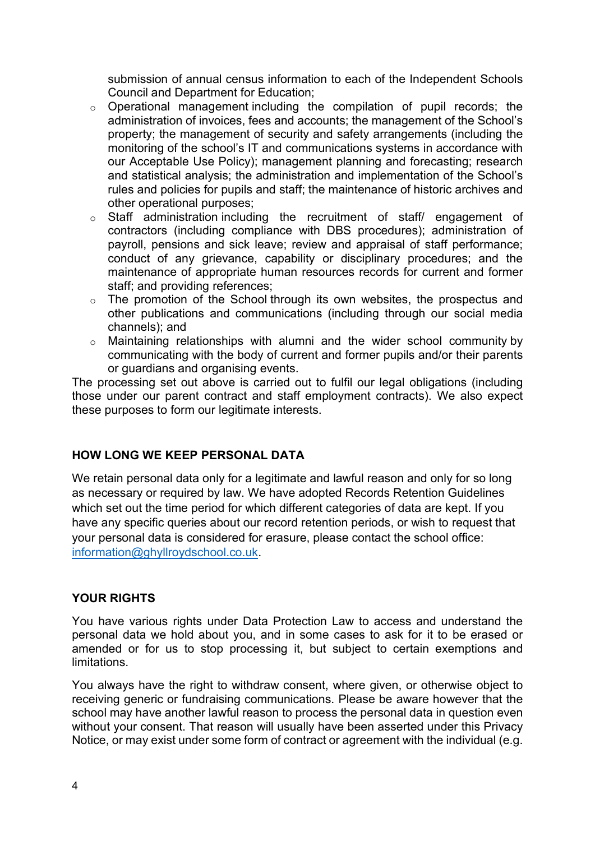submission of annual census information to each of the Independent Schools Council and Department for Education;

- o Operational management including the compilation of pupil records; the administration of invoices, fees and accounts; the management of the School's property; the management of security and safety arrangements (including the monitoring of the school's IT and communications systems in accordance with our Acceptable Use Policy); management planning and forecasting; research and statistical analysis; the administration and implementation of the School's rules and policies for pupils and staff; the maintenance of historic archives and other operational purposes;
- o Staff administration including the recruitment of staff/ engagement of contractors (including compliance with DBS procedures); administration of payroll, pensions and sick leave; review and appraisal of staff performance; conduct of any grievance, capability or disciplinary procedures; and the maintenance of appropriate human resources records for current and former staff; and providing references;
- o The promotion of the School through its own websites, the prospectus and other publications and communications (including through our social media channels); and
- o Maintaining relationships with alumni and the wider school community by communicating with the body of current and former pupils and/or their parents or guardians and organising events.

The processing set out above is carried out to fulfil our legal obligations (including those under our parent contract and staff employment contracts). We also expect these purposes to form our legitimate interests.

### HOW LONG WE KEEP PERSONAL DATA

We retain personal data only for a legitimate and lawful reason and only for so long as necessary or required by law. We have adopted Records Retention Guidelines which set out the time period for which different categories of data are kept. If you have any specific queries about our record retention periods, or wish to request that your personal data is considered for erasure, please contact the school office: information@ghyllroydschool.co.uk.

#### YOUR RIGHTS

You have various rights under Data Protection Law to access and understand the personal data we hold about you, and in some cases to ask for it to be erased or amended or for us to stop processing it, but subject to certain exemptions and **limitations** 

You always have the right to withdraw consent, where given, or otherwise object to receiving generic or fundraising communications. Please be aware however that the school may have another lawful reason to process the personal data in question even without your consent. That reason will usually have been asserted under this Privacy Notice, or may exist under some form of contract or agreement with the individual (e.g.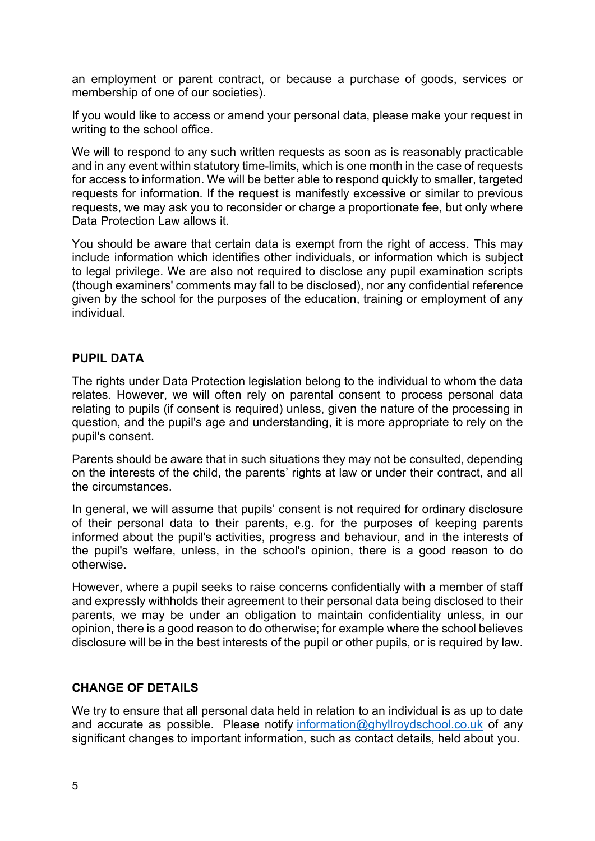an employment or parent contract, or because a purchase of goods, services or membership of one of our societies).

If you would like to access or amend your personal data, please make your request in writing to the school office.

We will to respond to any such written requests as soon as is reasonably practicable and in any event within statutory time-limits, which is one month in the case of requests for access to information. We will be better able to respond quickly to smaller, targeted requests for information. If the request is manifestly excessive or similar to previous requests, we may ask you to reconsider or charge a proportionate fee, but only where Data Protection Law allows it.

You should be aware that certain data is exempt from the right of access. This may include information which identifies other individuals, or information which is subject to legal privilege. We are also not required to disclose any pupil examination scripts (though examiners' comments may fall to be disclosed), nor any confidential reference given by the school for the purposes of the education, training or employment of any individual.

#### PUPIL DATA

The rights under Data Protection legislation belong to the individual to whom the data relates. However, we will often rely on parental consent to process personal data relating to pupils (if consent is required) unless, given the nature of the processing in question, and the pupil's age and understanding, it is more appropriate to rely on the pupil's consent.

Parents should be aware that in such situations they may not be consulted, depending on the interests of the child, the parents' rights at law or under their contract, and all the circumstances.

In general, we will assume that pupils' consent is not required for ordinary disclosure of their personal data to their parents, e.g. for the purposes of keeping parents informed about the pupil's activities, progress and behaviour, and in the interests of the pupil's welfare, unless, in the school's opinion, there is a good reason to do otherwise.

However, where a pupil seeks to raise concerns confidentially with a member of staff and expressly withholds their agreement to their personal data being disclosed to their parents, we may be under an obligation to maintain confidentiality unless, in our opinion, there is a good reason to do otherwise; for example where the school believes disclosure will be in the best interests of the pupil or other pupils, or is required by law.

#### CHANGE OF DETAILS

We try to ensure that all personal data held in relation to an individual is as up to date and accurate as possible. Please notify information@ghyllroydschool.co.uk of any significant changes to important information, such as contact details, held about you.